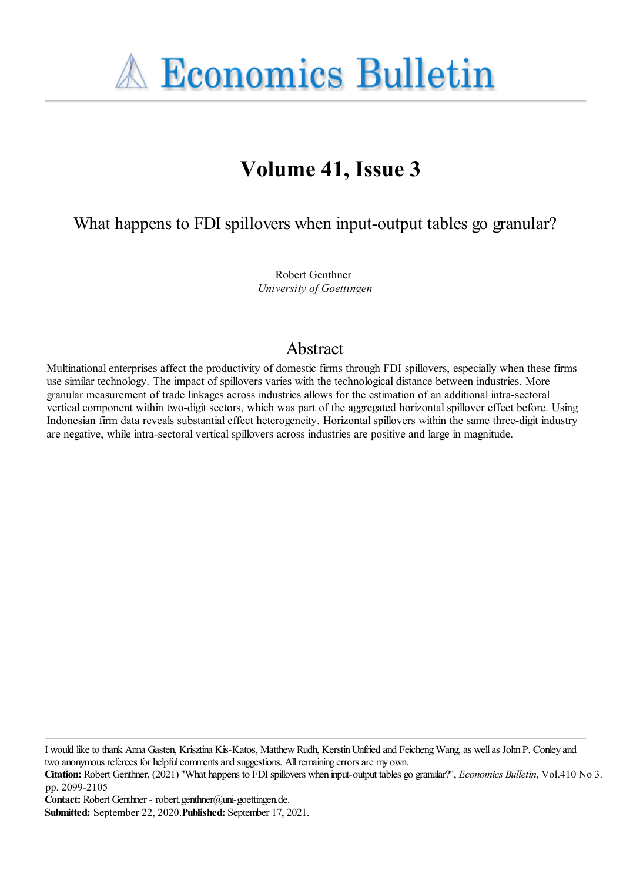**A Economics Bulletin** 

# **Volume 41, Issue 3**

What happens to FDI spillovers when input-output tables go granular?

Robert Genthner *University of Goettingen*

## Abstract

Multinational enterprises affect the productivity of domestic firms through FDI spillovers, especially when these firms use similar technology. The impact of spillovers varies with the technological distance between industries. More granular measurement of trade linkages across industries allows for the estimation of an additional intra-sectoral vertical component within two-digit sectors, which was part of the aggregated horizontal spillover effect before. Using Indonesian firm data reveals substantial effect heterogeneity. Horizontal spillovers within the same three-digit industry are negative, while intra-sectoral vertical spillovers across industries are positive and large in magnitude.

I would like to thank Anna Gasten, Krisztina Kis-Katos, Matthew Rudh, Kerstin Unfried and Feicheng Wang, as well as John P. Conley and two anonymous referees for helpful comments and suggestions. All remaining errors are my own.

**Citation:** Robert Genthner, (2021) ''What happens to FDI spillovers when input-output tables go granular?'', *Economics Bulletin*, Vol.410 No 3. pp. 2099-2105

**Contact:** Robert Genthner - robert.genthner@uni-goettingen.de.

**Submitted:** September 22, 2020.**Published:** September 17, 2021.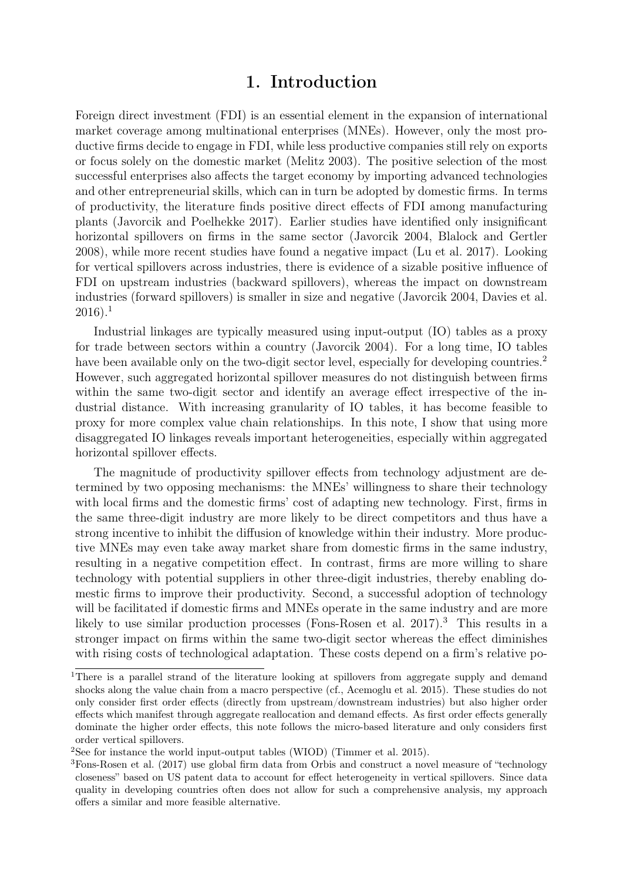#### 1. Introduction

Foreign direct investment (FDI) is an essential element in the expansion of international market coverage among multinational enterprises (MNEs). However, only the most productive firms decide to engage in FDI, while less productive companies still rely on exports or focus solely on the domestic market (Melitz 2003). The positive selection of the most successful enterprises also affects the target economy by importing advanced technologies and other entrepreneurial skills, which can in turn be adopted by domestic firms. In terms of productivity, the literature finds positive direct effects of FDI among manufacturing plants (Javorcik and Poelhekke 2017). Earlier studies have identified only insignificant horizontal spillovers on firms in the same sector (Javorcik 2004, Blalock and Gertler 2008), while more recent studies have found a negative impact (Lu et al. 2017). Looking for vertical spillovers across industries, there is evidence of a sizable positive influence of FDI on upstream industries (backward spillovers), whereas the impact on downstream industries (forward spillovers) is smaller in size and negative (Javorcik 2004, Davies et al.  $2016$ ).<sup>1</sup>

Industrial linkages are typically measured using input-output (IO) tables as a proxy for trade between sectors within a country (Javorcik 2004). For a long time, IO tables have been available only on the two-digit sector level, especially for developing countries.<sup>2</sup> However, such aggregated horizontal spillover measures do not distinguish between firms within the same two-digit sector and identify an average effect irrespective of the industrial distance. With increasing granularity of IO tables, it has become feasible to proxy for more complex value chain relationships. In this note, I show that using more disaggregated IO linkages reveals important heterogeneities, especially within aggregated horizontal spillover effects.

The magnitude of productivity spillover effects from technology adjustment are determined by two opposing mechanisms: the MNEs' willingness to share their technology with local firms and the domestic firms' cost of adapting new technology. First, firms in the same three-digit industry are more likely to be direct competitors and thus have a strong incentive to inhibit the diffusion of knowledge within their industry. More productive MNEs may even take away market share from domestic firms in the same industry, resulting in a negative competition effect. In contrast, firms are more willing to share technology with potential suppliers in other three-digit industries, thereby enabling domestic firms to improve their productivity. Second, a successful adoption of technology will be facilitated if domestic firms and MNEs operate in the same industry and are more likely to use similar production processes (Fons-Rosen et al. 2017).<sup>3</sup> This results in a stronger impact on firms within the same two-digit sector whereas the effect diminishes with rising costs of technological adaptation. These costs depend on a firm's relative po-

<sup>&</sup>lt;sup>1</sup>There is a parallel strand of the literature looking at spillovers from aggregate supply and demand shocks along the value chain from a macro perspective (cf., Acemoglu et al. 2015). These studies do not only consider first order effects (directly from upstream/downstream industries) but also higher order effects which manifest through aggregate reallocation and demand effects. As first order effects generally dominate the higher order effects, this note follows the micro-based literature and only considers first order vertical spillovers.

<sup>2</sup>See for instance the world input-output tables (WIOD) (Timmer et al. 2015).

<sup>3</sup>Fons-Rosen et al. (2017) use global firm data from Orbis and construct a novel measure of "technology closeness" based on US patent data to account for effect heterogeneity in vertical spillovers. Since data quality in developing countries often does not allow for such a comprehensive analysis, my approach offers a similar and more feasible alternative.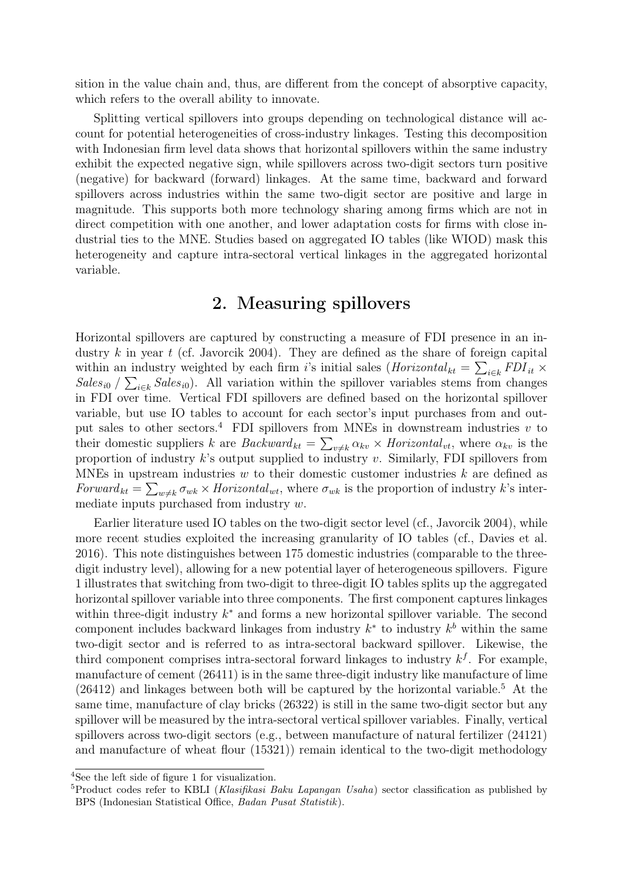sition in the value chain and, thus, are different from the concept of absorptive capacity, which refers to the overall ability to innovate.

Splitting vertical spillovers into groups depending on technological distance will account for potential heterogeneities of cross-industry linkages. Testing this decomposition with Indonesian firm level data shows that horizontal spillovers within the same industry exhibit the expected negative sign, while spillovers across two-digit sectors turn positive (negative) for backward (forward) linkages. At the same time, backward and forward spillovers across industries within the same two-digit sector are positive and large in magnitude. This supports both more technology sharing among firms which are not in direct competition with one another, and lower adaptation costs for firms with close industrial ties to the MNE. Studies based on aggregated IO tables (like WIOD) mask this heterogeneity and capture intra-sectoral vertical linkages in the aggregated horizontal variable.

#### 2. Measuring spillovers

Horizontal spillovers are captured by constructing a measure of FDI presence in an industry k in year t (cf. Javorcik 2004). They are defined as the share of foreign capital within an industry weighted by each firm i's initial sales  $(Horizontal_{kt} = \sum_{i \in k} FDI_{it} \times$  $Sales_{i0} / \sum_{i \in k} Sales_{i0}$ . All variation within the spillover variables stems from changes in FDI over time. Vertical FDI spillovers are defined based on the horizontal spillover variable, but use IO tables to account for each sector's input purchases from and output sales to other sectors.<sup>4</sup> FDI spillovers from MNEs in downstream industries  $v$  to their domestic suppliers k are  $Backward_{kt} = \sum_{v \neq k} \alpha_{kv} \times Horizontal_{vt}$ , where  $\alpha_{kv}$  is the proportion of industry  $k$ 's output supplied to industry  $v$ . Similarly, FDI spillovers from MNEs in upstream industries  $w$  to their domestic customer industries  $k$  are defined as Forward<sub>kt</sub> =  $\sum_{w \neq k} \sigma_{wk} \times Horizontal_{wt}$ , where  $\sigma_{wk}$  is the proportion of industry k's intermediate inputs purchased from industry  $w$ .

Earlier literature used IO tables on the two-digit sector level (cf., Javorcik 2004), while more recent studies exploited the increasing granularity of IO tables (cf., Davies et al. 2016). This note distinguishes between 175 domestic industries (comparable to the threedigit industry level), allowing for a new potential layer of heterogeneous spillovers. Figure 1 illustrates that switching from two-digit to three-digit IO tables splits up the aggregated horizontal spillover variable into three components. The first component captures linkages within three-digit industry  $k^*$  and forms a new horizontal spillover variable. The second component includes backward linkages from industry  $k^*$  to industry  $k^b$  within the same two-digit sector and is referred to as intra-sectoral backward spillover. Likewise, the third component comprises intra-sectoral forward linkages to industry  $k^f$ . For example, manufacture of cement (26411) is in the same three-digit industry like manufacture of lime  $(26412)$  and linkages between both will be captured by the horizontal variable.<sup>5</sup> At the same time, manufacture of clay bricks (26322) is still in the same two-digit sector but any spillover will be measured by the intra-sectoral vertical spillover variables. Finally, vertical spillovers across two-digit sectors (e.g., between manufacture of natural fertilizer (24121) and manufacture of wheat flour (15321)) remain identical to the two-digit methodology

<sup>4</sup>See the left side of figure 1 for visualization.

<sup>&</sup>lt;sup>5</sup>Product codes refer to KBLI (Klasifikasi Baku Lapangan Usaha) sector classification as published by BPS (Indonesian Statistical Office, Badan Pusat Statistik).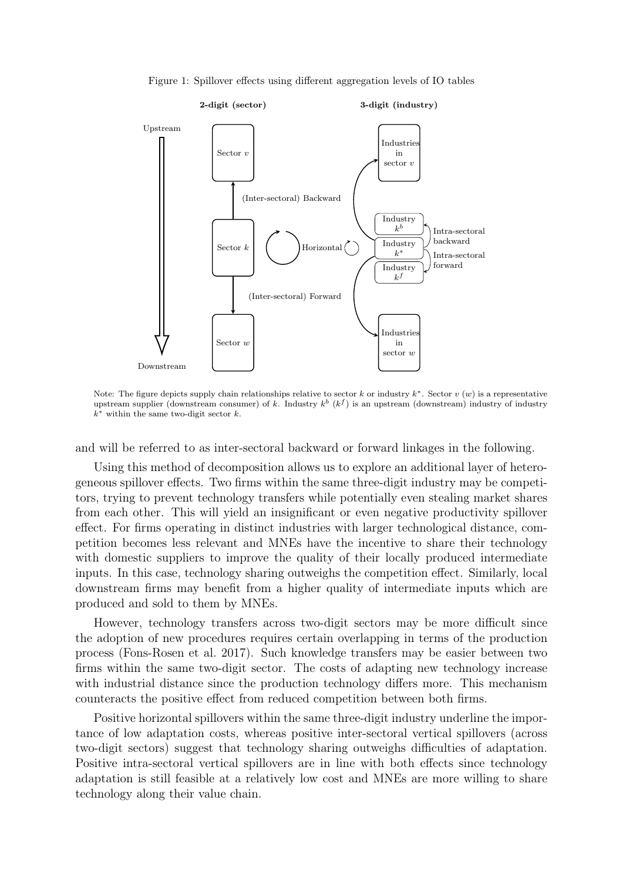

Figure 1: Spillover effects using different aggregation levels of IO tables

Note: The figure depicts supply chain relationships relative to sector k or industry  $k^*$ . Sector  $v(w)$  is a representative upstream supplier (downstream consumer) of k. Industry  $k^b$  ( $k^f$ ) is an upstream (downstream) industry of industry  $k^*$  within the same two-digit sector k.

and will be referred to as inter-sectoral backward or forward linkages in the following.

Using this method of decomposition allows us to explore an additional layer of heterogeneous spillover effects. Two firms within the same three-digit industry may be competitors, trying to prevent technology transfers while potentially even stealing market shares from each other. This will yield an insignificant or even negative productivity spillover effect. For firms operating in distinct industries with larger technological distance, competition becomes less relevant and MNEs have the incentive to share their technology with domestic suppliers to improve the quality of their locally produced intermediate inputs. In this case, technology sharing outweighs the competition effect. Similarly, local downstream firms may benefit from a higher quality of intermediate inputs which are produced and sold to them by MNEs.

However, technology transfers across two-digit sectors may be more difficult since the adoption of new procedures requires certain overlapping in terms of the production process (Fons-Rosen et al. 2017). Such knowledge transfers may be easier between two firms within the same two-digit sector. The costs of adapting new technology increase with industrial distance since the production technology differs more. This mechanism counteracts the positive effect from reduced competition between both firms.

Positive horizontal spillovers within the same three-digit industry underline the importance of low adaptation costs, whereas positive inter-sectoral vertical spillovers (across two-digit sectors) suggest that technology sharing outweighs difficulties of adaptation. Positive intra-sectoral vertical spillovers are in line with both effects since technology adaptation is still feasible at a relatively low cost and MNEs are more willing to share technology along their value chain.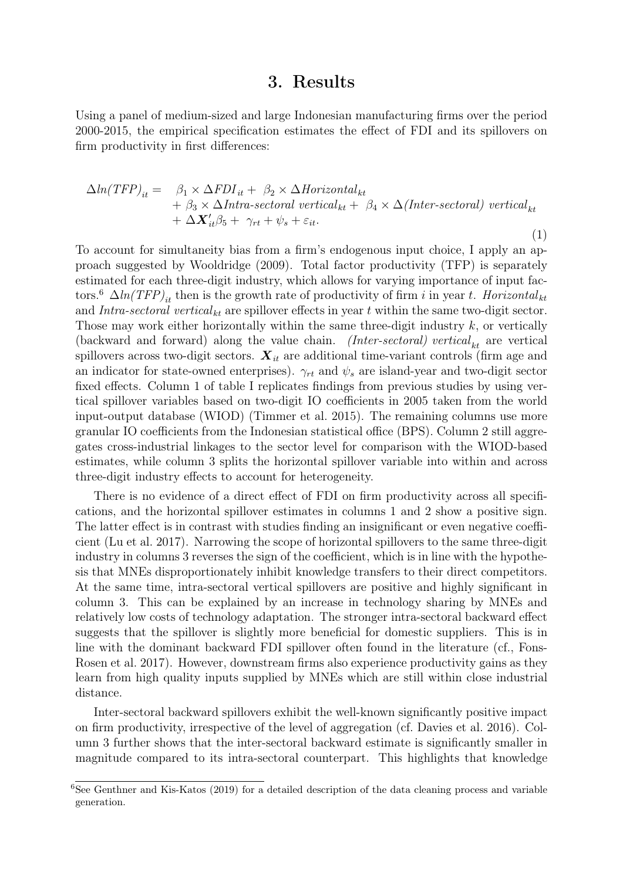#### 3. Results

Using a panel of medium-sized and large Indonesian manufacturing firms over the period 2000-2015, the empirical specification estimates the effect of FDI and its spillovers on firm productivity in first differences:

$$
\Delta ln(TFP)_{it} = \beta_1 \times \Delta FDI_{it} + \beta_2 \times \Delta Horizontal_{kt} + \beta_3 \times \Delta Intra\text{-}sectionl \ vertical_{kt} + \beta_4 \times \Delta(Inter\text{-}sectionl) \ vertical_{kt} + \Delta \mathbf{X}_{it}'\beta_5 + \gamma_{rt} + \psi_s + \varepsilon_{it}.
$$

(1)

To account for simultaneity bias from a firm's endogenous input choice, I apply an approach suggested by Wooldridge (2009). Total factor productivity (TFP) is separately estimated for each three-digit industry, which allows for varying importance of input factors.<sup>6</sup>  $\Delta ln(TFP)_{it}$  then is the growth rate of productivity of firm i in year t. Horizontal<sub>kt</sub> and Intra-sectoral vertical<sub>kt</sub> are spillover effects in year t within the same two-digit sector. Those may work either horizontally within the same three-digit industry  $k$ , or vertically (backward and forward) along the value chain. *(Inter-sectoral) vertical*  $_{k}$  are vertical spillovers across two-digit sectors.  $\boldsymbol{X}_{it}$  are additional time-variant controls (firm age and an indicator for state-owned enterprises).  $\gamma_{rt}$  and  $\psi_s$  are island-year and two-digit sector fixed effects. Column 1 of table I replicates findings from previous studies by using vertical spillover variables based on two-digit IO coefficients in 2005 taken from the world input-output database (WIOD) (Timmer et al. 2015). The remaining columns use more granular IO coefficients from the Indonesian statistical office (BPS). Column 2 still aggregates cross-industrial linkages to the sector level for comparison with the WIOD-based estimates, while column 3 splits the horizontal spillover variable into within and across three-digit industry effects to account for heterogeneity.

There is no evidence of a direct effect of FDI on firm productivity across all specifications, and the horizontal spillover estimates in columns 1 and 2 show a positive sign. The latter effect is in contrast with studies finding an insignificant or even negative coefficient (Lu et al. 2017). Narrowing the scope of horizontal spillovers to the same three-digit industry in columns 3 reverses the sign of the coefficient, which is in line with the hypothesis that MNEs disproportionately inhibit knowledge transfers to their direct competitors. At the same time, intra-sectoral vertical spillovers are positive and highly significant in column 3. This can be explained by an increase in technology sharing by MNEs and relatively low costs of technology adaptation. The stronger intra-sectoral backward effect suggests that the spillover is slightly more beneficial for domestic suppliers. This is in line with the dominant backward FDI spillover often found in the literature (cf., Fons-Rosen et al. 2017). However, downstream firms also experience productivity gains as they learn from high quality inputs supplied by MNEs which are still within close industrial distance.

Inter-sectoral backward spillovers exhibit the well-known significantly positive impact on firm productivity, irrespective of the level of aggregation (cf. Davies et al. 2016). Column 3 further shows that the inter-sectoral backward estimate is significantly smaller in magnitude compared to its intra-sectoral counterpart. This highlights that knowledge

<sup>&</sup>lt;sup>6</sup>See Genthner and Kis-Katos (2019) for a detailed description of the data cleaning process and variable generation.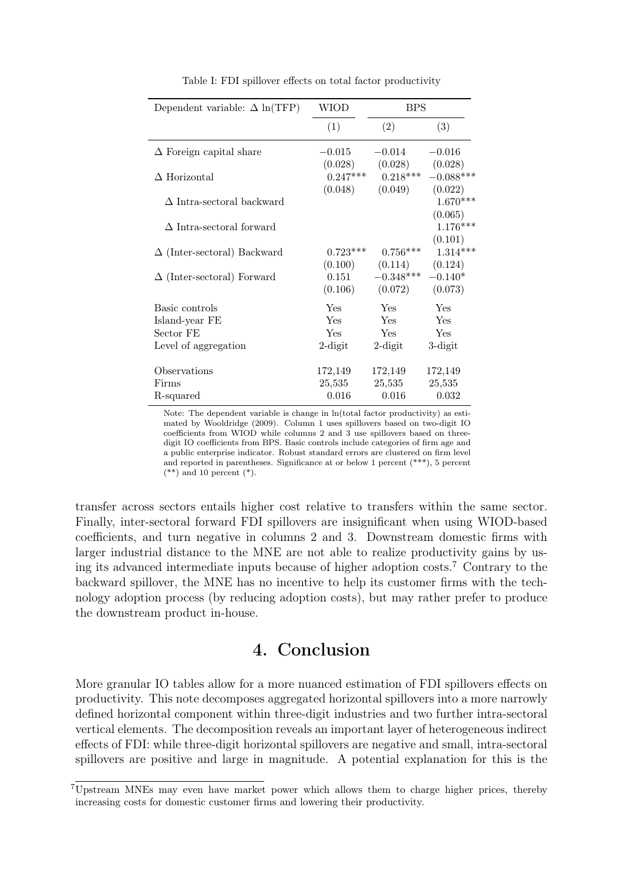| Dependent variable: $\Delta \ln(\text{TFP})$ | WIOD       | <b>BPS</b>  |             |
|----------------------------------------------|------------|-------------|-------------|
|                                              | (1)        | (2)         | (3)         |
| $\Delta$ Foreign capital share               | $-0.015$   | $-0.014$    | $-0.016$    |
|                                              | (0.028)    | (0.028)     | (0.028)     |
| $\Delta$ Horizontal                          | $0.247***$ | $0.218***$  | $-0.088***$ |
|                                              | (0.048)    | (0.049)     | (0.022)     |
| $\Delta$ Intra-sectoral backward             |            |             | $1.670***$  |
|                                              |            |             | (0.065)     |
| $\Delta$ Intra-sectoral forward              |            |             | $1.176***$  |
|                                              |            |             | (0.101)     |
| $\Delta$ (Inter-sectoral) Backward           | $0.723***$ | $0.756***$  | $1.314***$  |
|                                              | (0.100)    | (0.114)     | (0.124)     |
| $\Delta$ (Inter-sectoral) Forward            | 0.151      | $-0.348***$ | $-0.140*$   |
|                                              | (0.106)    | (0.072)     | (0.073)     |
| Basic controls                               | Yes        | Yes         | Yes         |
| Island-year FE                               | Yes        | Yes         | Yes         |
| Sector FE                                    | Yes        | <b>Yes</b>  | Yes         |
| Level of aggregation                         | $2$ -digit | $2$ -digit  | 3-digit     |
|                                              |            |             |             |
| Observations                                 | 172,149    | 172,149     | 172,149     |
| Firms                                        | 25,535     | 25,535      | 25,535      |
| R-squared                                    | 0.016      | 0.016       | 0.032       |

Table I: FDI spillover effects on total factor productivity

Note: The dependent variable is change in ln(total factor productivity) as estimated by Wooldridge (2009). Column 1 uses spillovers based on two-digit IO coefficients from WIOD while columns 2 and 3 use spillovers based on threedigit IO coefficients from BPS. Basic controls include categories of firm age and a public enterprise indicator. Robust standard errors are clustered on firm level and reported in parentheses. Significance at or below 1 percent (\*\*\*), 5 percent  $(**)$  and 10 percent  $(*).$ 

transfer across sectors entails higher cost relative to transfers within the same sector. Finally, inter-sectoral forward FDI spillovers are insignificant when using WIOD-based coefficients, and turn negative in columns 2 and 3. Downstream domestic firms with larger industrial distance to the MNE are not able to realize productivity gains by using its advanced intermediate inputs because of higher adoption costs.<sup>7</sup> Contrary to the backward spillover, the MNE has no incentive to help its customer firms with the technology adoption process (by reducing adoption costs), but may rather prefer to produce the downstream product in-house.

#### 4. Conclusion

More granular IO tables allow for a more nuanced estimation of FDI spillovers effects on productivity. This note decomposes aggregated horizontal spillovers into a more narrowly defined horizontal component within three-digit industries and two further intra-sectoral vertical elements. The decomposition reveals an important layer of heterogeneous indirect effects of FDI: while three-digit horizontal spillovers are negative and small, intra-sectoral spillovers are positive and large in magnitude. A potential explanation for this is the

<sup>7</sup>Upstream MNEs may even have market power which allows them to charge higher prices, thereby increasing costs for domestic customer firms and lowering their productivity.